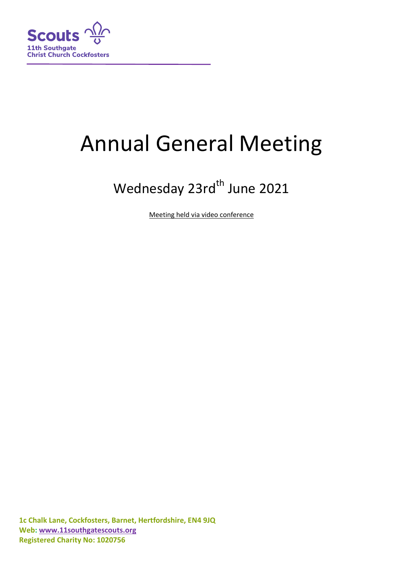

# Annual General Meeting

# Wednesday 23rd<sup>th</sup> June 2021

Meeting held via video conference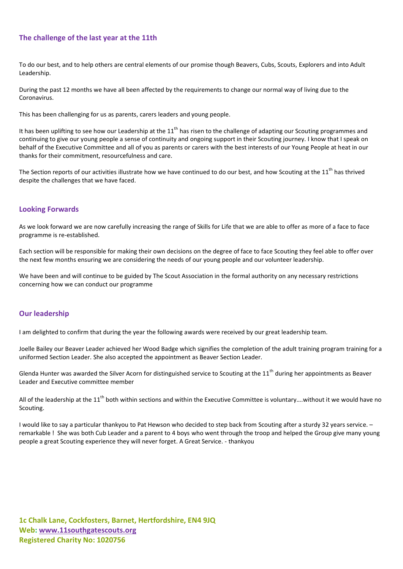# **The challenge of the last year at the 11th**

To do our best, and to help others are central elements of our promise though Beavers, Cubs, Scouts, Explorers and into Adult Leadership.

During the past 12 months we have all been affected by the requirements to change our normal way of living due to the Coronavirus.

This has been challenging for us as parents, carers leaders and young people.

It has been uplifting to see how our Leadership at the  $11<sup>th</sup>$  has risen to the challenge of adapting our Scouting programmes and continuing to give our young people a sense of continuity and ongoing support in their Scouting journey. I know that I speak on behalf of the Executive Committee and all of you as parents or carers with the best interests of our Young People at heat in our thanks for their commitment, resourcefulness and care.

The Section reports of our activities illustrate how we have continued to do our best, and how Scouting at the  $11<sup>th</sup>$  has thrived despite the challenges that we have faced.

# **Looking Forwards**

As we look forward we are now carefully increasing the range of Skills for Life that we are able to offer as more of a face to face programme is re-established.

Each section will be responsible for making their own decisions on the degree of face to face Scouting they feel able to offer over the next few months ensuring we are considering the needs of our young people and our volunteer leadership.

We have been and will continue to be guided by The Scout Association in the formal authority on any necessary restrictions concerning how we can conduct our programme

# **Our leadership**

I am delighted to confirm that during the year the following awards were received by our great leadership team.

Joelle Bailey our Beaver Leader achieved her Wood Badge which signifies the completion of the adult training program training for a uniformed Section Leader. She also accepted the appointment as Beaver Section Leader.

Glenda Hunter was awarded the Silver Acorn for distinguished service to Scouting at the  $11<sup>th</sup>$  during her appointments as Beaver Leader and Executive committee member

All of the leadership at the  $11^{th}$  both within sections and within the Executive Committee is voluntary... without it we would have no Scouting.

I would like to say a particular thankyou to Pat Hewson who decided to step back from Scouting after a sturdy 32 years service. – remarkable ! She was both Cub Leader and a parent to 4 boys who went through the troop and helped the Group give many young people a great Scouting experience they will never forget. A Great Service. - thankyou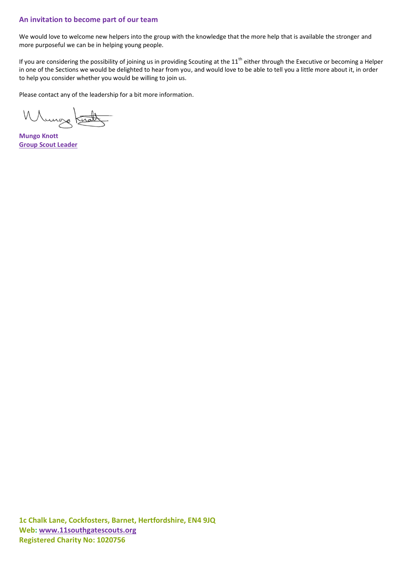# **An invitation to become part of our team**

We would love to welcome new helpers into the group with the knowledge that the more help that is available the stronger and more purposeful we can be in helping young people.

If you are considering the possibility of joining us in providing Scouting at the  $11<sup>th</sup>$  either through the Executive or becoming a Helper in one of the Sections we would be delighted to hear from you, and would love to be able to tell you a little more about it, in order to help you consider whether you would be willing to join us.

Please contact any of the leadership for a bit more information.

Whungs Kerald

**Mungo Knott Group Scout Leader**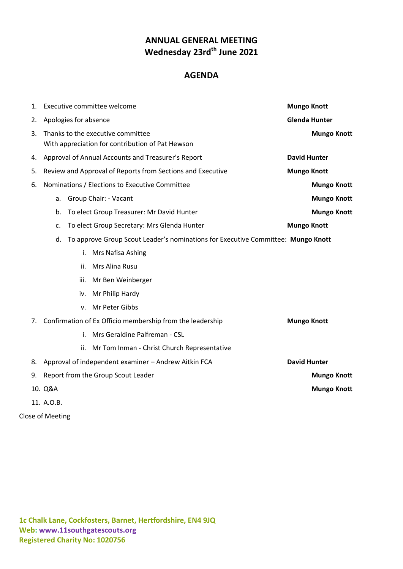# **ANNUAL GENERAL MEETING Wednesday 23rdth June 2021**

# **AGENDA**

| 1. | Executive committee welcome                                                            | <b>Mungo Knott</b>   |  |
|----|----------------------------------------------------------------------------------------|----------------------|--|
| 2. | Apologies for absence                                                                  | <b>Glenda Hunter</b> |  |
| 3. | Thanks to the executive committee                                                      | <b>Mungo Knott</b>   |  |
|    | With appreciation for contribution of Pat Hewson                                       |                      |  |
| 4. | Approval of Annual Accounts and Treasurer's Report<br><b>David Hunter</b>              |                      |  |
| 5. | Review and Approval of Reports from Sections and Executive<br><b>Mungo Knott</b>       |                      |  |
| 6. | Nominations / Elections to Executive Committee<br><b>Mungo Knott</b>                   |                      |  |
|    | Group Chair: - Vacant<br>a.                                                            | <b>Mungo Knott</b>   |  |
|    | To elect Group Treasurer: Mr David Hunter<br>b.                                        | <b>Mungo Knott</b>   |  |
|    | To elect Group Secretary: Mrs Glenda Hunter<br>c.                                      | <b>Mungo Knott</b>   |  |
|    | To approve Group Scout Leader's nominations for Executive Committee: Mungo Knott<br>d. |                      |  |
|    | Mrs Nafisa Ashing<br>i.                                                                |                      |  |
|    | Mrs Alina Rusu<br>ii.                                                                  |                      |  |
|    | iii.<br>Mr Ben Weinberger                                                              |                      |  |
|    | Mr Philip Hardy<br>iv.                                                                 |                      |  |
|    | Mr Peter Gibbs<br>v.                                                                   |                      |  |
| 7. | Confirmation of Ex Officio membership from the leadership<br><b>Mungo Knott</b>        |                      |  |
|    | Mrs Geraldine Palfreman - CSL<br>i.                                                    |                      |  |
|    | Mr Tom Inman - Christ Church Representative<br>ii.                                     |                      |  |
| 8. | Approval of independent examiner - Andrew Aitkin FCA                                   | <b>David Hunter</b>  |  |
| 9. | Report from the Group Scout Leader                                                     | <b>Mungo Knott</b>   |  |
|    | 10. Q&A                                                                                | <b>Mungo Knott</b>   |  |
|    | 11. A.O.B.                                                                             |                      |  |

Close of Meeting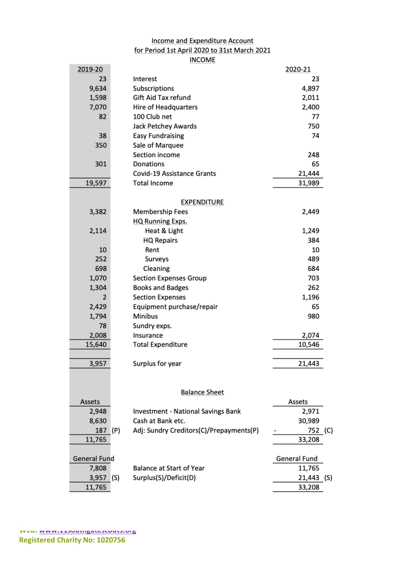# Income and Expenditure Account for Period 1st April 2020 to 31st March 2021 **INCOME**

| 2019-20             |                                                | 2020-21              |  |
|---------------------|------------------------------------------------|----------------------|--|
| 23                  | Interest                                       | 23                   |  |
| 9,634               | Subscriptions                                  | 4,897                |  |
| 1,598               | Gift Aid Tax refund                            | 2,011                |  |
| 7,070               | Hire of Headquarters                           | 2,400                |  |
| 82                  | 100 Club net                                   | 77                   |  |
|                     | Jack Petchey Awards                            | 750                  |  |
| 38                  | <b>Easy Fundraising</b>                        | 74                   |  |
| 350                 | Sale of Marquee                                |                      |  |
|                     | Section income                                 | 248                  |  |
| 301                 | Donations                                      | 65                   |  |
|                     | Covid-19 Assistance Grants                     | 21,444               |  |
| 19,597              | <b>Total Income</b>                            | 31,989               |  |
| <b>EXPENDITURE</b>  |                                                |                      |  |
| 3,382               | <b>Membership Fees</b>                         | 2,449                |  |
|                     | HQ Running Exps.                               |                      |  |
| 2,114               | Heat & Light                                   | 1,249                |  |
|                     | <b>HQ Repairs</b>                              | 384                  |  |
| 10                  | Rent                                           | 10                   |  |
| 252                 | Surveys                                        | 489                  |  |
| 698                 | Cleaning                                       | 684                  |  |
| 1,070               | <b>Section Expenses Group</b>                  | 703                  |  |
| 1,304               | <b>Books and Badges</b>                        | 262                  |  |
| $\overline{2}$      | <b>Section Expenses</b>                        | 1,196                |  |
| 2,429               | Equipment purchase/repair                      | 65                   |  |
| 1,794               | <b>Minibus</b>                                 | 980                  |  |
| 78                  | Sundry exps.                                   |                      |  |
| 2,008               | Insurance                                      | 2,074                |  |
| 15,640              | <b>Total Expenditure</b>                       | 10,546               |  |
|                     |                                                |                      |  |
| 3,957               | Surplus for year                               | 21,443               |  |
|                     |                                                |                      |  |
|                     |                                                |                      |  |
| Assets              | <b>Balance Sheet</b>                           | Assets               |  |
| 2,948               | <b>Investment - National Savings Bank</b>      | 2,971                |  |
| 8,630               | Cash at Bank etc.                              | 30,989               |  |
| 187                 | Adj: Sundry Creditors(C)/Prepayments(P)<br>(P) | 752 (C)              |  |
| 11,765              |                                                | 33,208               |  |
| <b>General Fund</b> |                                                | General Fund         |  |
| 7,808               | <b>Balance at Start of Year</b>                | 11,765               |  |
|                     | Surplus(S)/Deficit(D)                          |                      |  |
| 3,957 (S)<br>11,765 |                                                | 21,443 (S)<br>33,208 |  |
|                     |                                                |                      |  |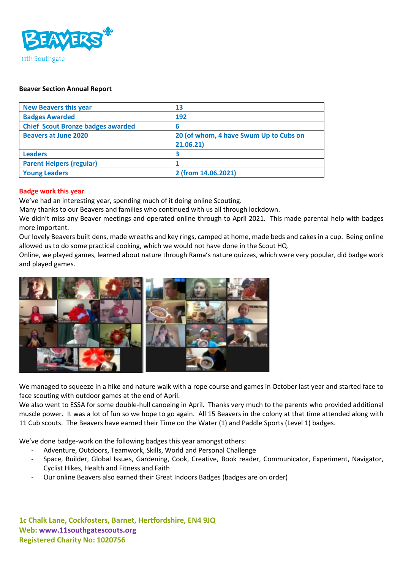

### **Beaver Section Annual Report**

| <b>New Beavers this year</b>             | 13                                                  |
|------------------------------------------|-----------------------------------------------------|
| <b>Badges Awarded</b>                    | 192                                                 |
| <b>Chief Scout Bronze badges awarded</b> | 6                                                   |
| <b>Beavers at June 2020</b>              | 20 (of whom, 4 have Swum Up to Cubs on<br>21.06.21) |
| <b>Leaders</b>                           | З                                                   |
| <b>Parent Helpers (regular)</b>          |                                                     |
| <b>Young Leaders</b>                     | 2 (from 14.06.2021)                                 |

#### **Badge work this year**

We've had an interesting year, spending much of it doing online Scouting.

Many thanks to our Beavers and families who continued with us all through lockdown.

We didn't miss any Beaver meetings and operated online through to April 2021. This made parental help with badges more important.

Our lovely Beavers built dens, made wreaths and key rings, camped at home, made beds and cakes in a cup. Being online allowed us to do some practical cooking, which we would not have done in the Scout HQ.

Online, we played games, learned about nature through Rama's nature quizzes, which were very popular, did badge work and played games.



We managed to squeeze in a hike and nature walk with a rope course and games in October last year and started face to face scouting with outdoor games at the end of April.

We also went to ESSA for some double-hull canoeing in April. Thanks very much to the parents who provided additional muscle power. It was a lot of fun so we hope to go again. All 15 Beavers in the colony at that time attended along with 11 Cub scouts. The Beavers have earned their Time on the Water (1) and Paddle Sports (Level 1) badges.

We've done badge-work on the following badges this year amongst others:

- Adventure, Outdoors, Teamwork, Skills, World and Personal Challenge
- Space, Builder, Global Issues, Gardening, Cook, Creative, Book reader, Communicator, Experiment, Navigator, Cyclist Hikes, Health and Fitness and Faith
- Our online Beavers also earned their Great Indoors Badges (badges are on order)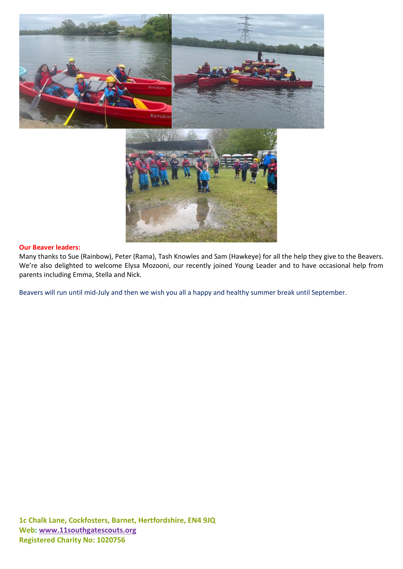



### **Our Beaver leaders:**

Many thanks to Sue (Rainbow), Peter (Rama), Tash Knowles and Sam (Hawkeye) for all the help they give to the Beavers. We're also delighted to welcome Elysa Mozooni, our recently joined Young Leader and to have occasional help from parents including Emma, Stella and Nick.

Beavers will run until mid-July and then we wish you all a happy and healthy summer break until September.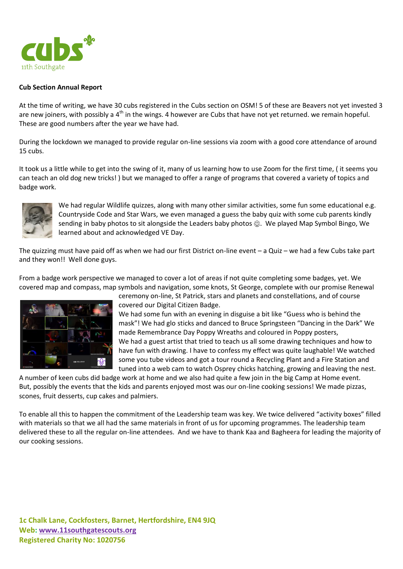

# **Cub Section Annual Report**

At the time of writing, we have 30 cubs registered in the Cubs section on OSM! 5 of these are Beavers not yet invested 3 are new joiners, with possibly a  $4<sup>th</sup>$  in the wings. 4 however are Cubs that have not yet returned. we remain hopeful. These are good numbers after the year we have had.

During the lockdown we managed to provide regular on-line sessions via zoom with a good core attendance of around 15 cubs.

It took us a little while to get into the swing of it, many of us learning how to use Zoom for the first time, ( it seems you can teach an old dog new tricks! ) but we managed to offer a range of programs that covered a variety of topics and badge work.



We had regular Wildlife quizzes, along with many other similar activities, some fun some educational e.g. Countryside Code and Star Wars, we even managed a guess the baby quiz with some cub parents kindly sending in baby photos to sit alongside the Leaders baby photos  $\odot$ . We played Map Symbol Bingo, We learned about and acknowledged VE Day.

The quizzing must have paid off as when we had our first District on-line event – a Quiz – we had a few Cubs take part and they won!! Well done guys.

From a badge work perspective we managed to cover a lot of areas if not quite completing some badges, yet. We covered map and compass, map symbols and navigation, some knots, St George, complete with our promise Renewal



ceremony on-line, St Patrick, stars and planets and constellations, and of course covered our Digital Citizen Badge.

We had some fun with an evening in disguise a bit like "Guess who is behind the mask"! We had glo sticks and danced to Bruce Springsteen "Dancing in the Dark" We made Remembrance Day Poppy Wreaths and coloured in Poppy posters, We had a guest artist that tried to teach us all some drawing techniques and how to have fun with drawing. I have to confess my effect was quite laughable! We watched some you tube videos and got a tour round a Recycling Plant and a Fire Station and tuned into a web cam to watch Osprey chicks hatching, growing and leaving the nest.

A number of keen cubs did badge work at home and we also had quite a few join in the big Camp at Home event. But, possibly the events that the kids and parents enjoyed most was our on-line cooking sessions! We made pizzas, scones, fruit desserts, cup cakes and palmiers.

To enable all this to happen the commitment of the Leadership team was key. We twice delivered "activity boxes" filled with materials so that we all had the same materials in front of us for upcoming programmes. The leadership team delivered these to all the regular on-line attendees. And we have to thank Kaa and Bagheera for leading the majority of our cooking sessions.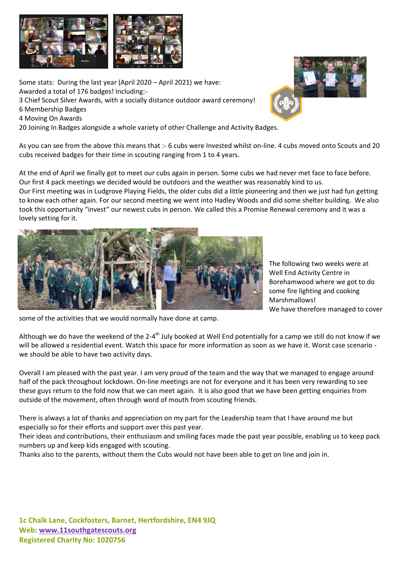

Some stats: During the last year (April 2020 – April 2021) we have: Awarded a total of 176 badges! Including:-

3 Chief Scout Silver Awards, with a socially distance outdoor award ceremony!

- 6 Membership Badges
- 4 Moving On Awards

20 Joining In Badges alongside a whole variety of other Challenge and Activity Badges.

As you can see from the above this means that :- 6 cubs were Invested whilst on-line. 4 cubs moved onto Scouts and 20 cubs received badges for their time in scouting ranging from 1 to 4 years.

At the end of April we finally got to meet our cubs again in person. Some cubs we had never met face to face before. Our first 4 pack meetings we decided would be outdoors and the weather was reasonably kind to us. Our First meeting was in Ludgrove Playing Fields, the older cubs did a little pioneering and then we just had fun getting to know each other again. For our second meeting we went into Hadley Woods and did some shelter building. We also took this opportunity "invest" our newest cubs in person. We called this a Promise Renewal ceremony and it was a lovely setting for it.



The following two weeks were at Well End Activity Centre in Borehamwood where we got to do some fire lighting and cooking Marshmallows! We have therefore managed to cover

some of the activities that we would normally have done at camp.

Although we do have the weekend of the 2-4<sup>th</sup> July booked at Well End potentially for a camp we still do not know if we will be allowed a residential event. Watch this space for more information as soon as we have it. Worst case scenario we should be able to have two activity days.

Overall I am pleased with the past year. I am very proud of the team and the way that we managed to engage around half of the pack throughout lockdown. On-line meetings are not for everyone and it has been very rewarding to see these guys return to the fold now that we can meet again. It is also good that we have been getting enquiries from outside of the movement, often through word of mouth from scouting friends.

There is always a lot of thanks and appreciation on my part for the Leadership team that I have around me but especially so for their efforts and support over this past year.

Their ideas and contributions, their enthusiasm and smiling faces made the past year possible, enabling us to keep pack numbers up and keep kids engaged with scouting.

Thanks also to the parents, without them the Cubs would not have been able to get on line and join in.

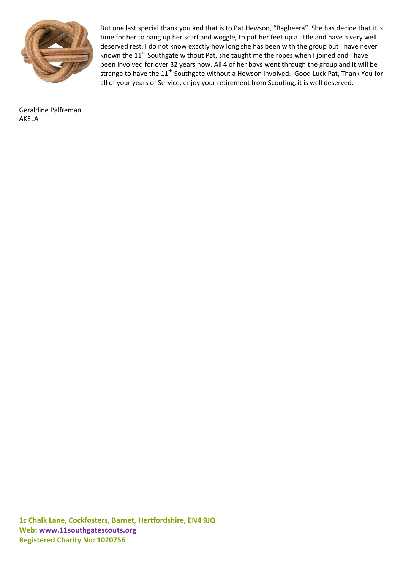

But one last special thank you and that is to Pat Hewson, "Bagheera". She has decide that it is time for her to hang up her scarf and woggle, to put her feet up a little and have a very well deserved rest. I do not know exactly how long she has been with the group but I have never known the 11<sup>th</sup> Southgate without Pat, she taught me the ropes when I joined and I have been involved for over 32 years now. All 4 of her boys went through the group and it will be strange to have the 11<sup>th</sup> Southgate without a Hewson involved. Good Luck Pat, Thank You for all of your years of Service, enjoy your retirement from Scouting, it is well deserved.

Geraldine Palfreman AKELA